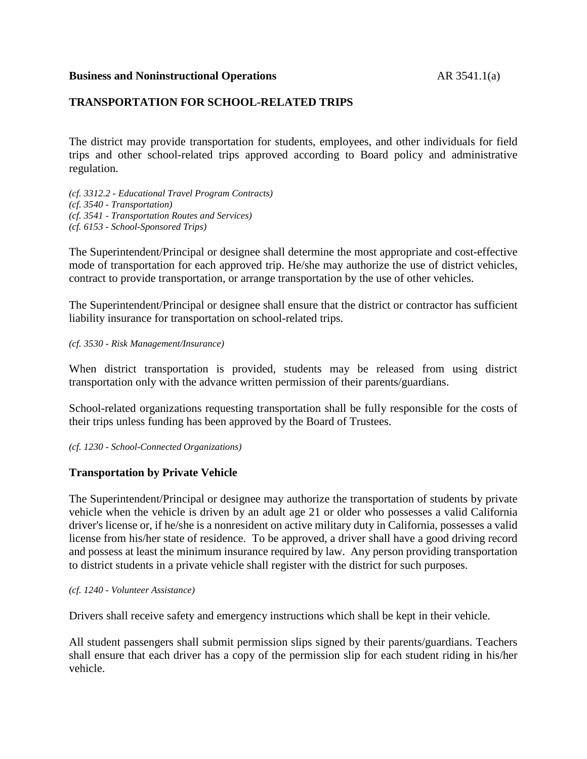#### **Business and Noninstructional Operations** AR 3541.1(a)

## **TRANSPORTATION FOR SCHOOL-RELATED TRIPS**

The district may provide transportation for students, employees, and other individuals for field trips and other school-related trips approved according to Board policy and administrative regulation.

*(cf. 3312.2 - Educational Travel Program Contracts) (cf. 3540 - Transportation) (cf. 3541 - Transportation Routes and Services) (cf. 6153 - School-Sponsored Trips)*

The Superintendent/Principal or designee shall determine the most appropriate and cost-effective mode of transportation for each approved trip. He/she may authorize the use of district vehicles, contract to provide transportation, or arrange transportation by the use of other vehicles.

The Superintendent/Principal or designee shall ensure that the district or contractor has sufficient liability insurance for transportation on school-related trips.

*(cf. 3530 - Risk Management/Insurance)*

When district transportation is provided, students may be released from using district transportation only with the advance written permission of their parents/guardians.

School-related organizations requesting transportation shall be fully responsible for the costs of their trips unless funding has been approved by the Board of Trustees.

*(cf. 1230 - School-Connected Organizations)*

### **Transportation by Private Vehicle**

The Superintendent/Principal or designee may authorize the transportation of students by private vehicle when the vehicle is driven by an adult age 21 or older who possesses a valid California driver's license or, if he/she is a nonresident on active military duty in California, possesses a valid license from his/her state of residence. To be approved, a driver shall have a good driving record and possess at least the minimum insurance required by law. Any person providing transportation to district students in a private vehicle shall register with the district for such purposes.

*(cf. 1240 - Volunteer Assistance)*

Drivers shall receive safety and emergency instructions which shall be kept in their vehicle.

All student passengers shall submit permission slips signed by their parents/guardians. Teachers shall ensure that each driver has a copy of the permission slip for each student riding in his/her vehicle.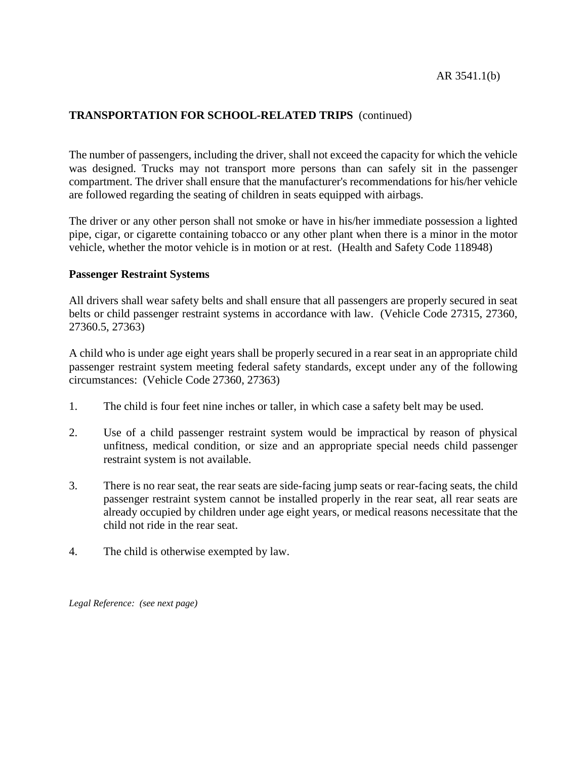# **TRANSPORTATION FOR SCHOOL-RELATED TRIPS** (continued)

The number of passengers, including the driver, shall not exceed the capacity for which the vehicle was designed. Trucks may not transport more persons than can safely sit in the passenger compartment. The driver shall ensure that the manufacturer's recommendations for his/her vehicle are followed regarding the seating of children in seats equipped with airbags.

The driver or any other person shall not smoke or have in his/her immediate possession a lighted pipe, cigar, or cigarette containing tobacco or any other plant when there is a minor in the motor vehicle, whether the motor vehicle is in motion or at rest. (Health and Safety Code 118948)

#### **Passenger Restraint Systems**

All drivers shall wear safety belts and shall ensure that all passengers are properly secured in seat belts or child passenger restraint systems in accordance with law. (Vehicle Code 27315, 27360, 27360.5, 27363)

A child who is under age eight years shall be properly secured in a rear seat in an appropriate child passenger restraint system meeting federal safety standards, except under any of the following circumstances: (Vehicle Code 27360, 27363)

- 1. The child is four feet nine inches or taller, in which case a safety belt may be used.
- 2. Use of a child passenger restraint system would be impractical by reason of physical unfitness, medical condition, or size and an appropriate special needs child passenger restraint system is not available.
- 3. There is no rear seat, the rear seats are side-facing jump seats or rear-facing seats, the child passenger restraint system cannot be installed properly in the rear seat, all rear seats are already occupied by children under age eight years, or medical reasons necessitate that the child not ride in the rear seat.
- 4. The child is otherwise exempted by law.

*Legal Reference: (see next page)*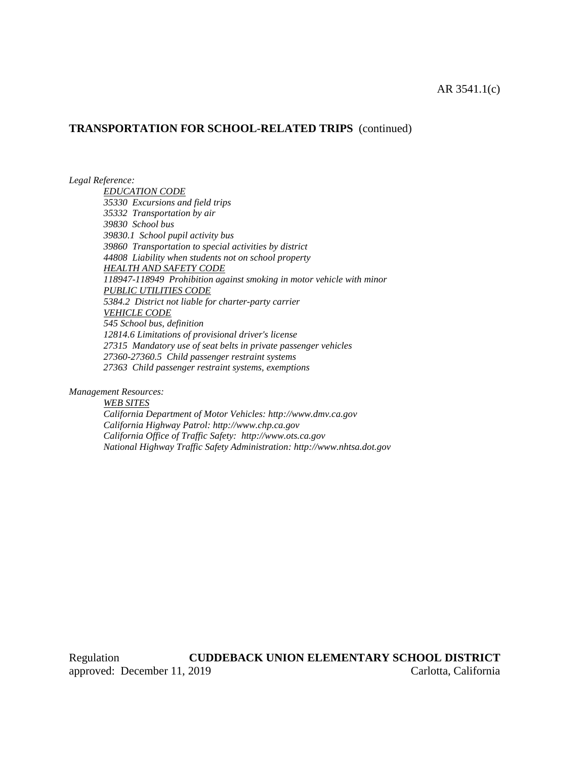### **TRANSPORTATION FOR SCHOOL-RELATED TRIPS** (continued)

*Legal Reference:*

*EDUCATION CODE 35330 Excursions and field trips 35332 Transportation by air 39830 School bus 39830.1 School pupil activity bus 39860 Transportation to special activities by district 44808 Liability when students not on school property HEALTH AND SAFETY CODE 118947-118949 Prohibition against smoking in motor vehicle with minor PUBLIC UTILITIES CODE 5384.2 District not liable for charter-party carrier VEHICLE CODE 545 School bus, definition 12814.6 Limitations of provisional driver's license 27315 Mandatory use of seat belts in private passenger vehicles 27360-27360.5 Child passenger restraint systems 27363 Child passenger restraint systems, exemptions*

*Management Resources:*

*WEB SITES California Department of Motor Vehicles: http://www.dmv.ca.gov California Highway Patrol: http://www.chp.ca.gov California Office of Traffic Safety: http://www.ots.ca.gov National Highway Traffic Safety Administration: http://www.nhtsa.dot.gov*

Regulation **CUDDEBACK UNION ELEMENTARY SCHOOL DISTRICT** approved: December 11, 2019 Carlotta, California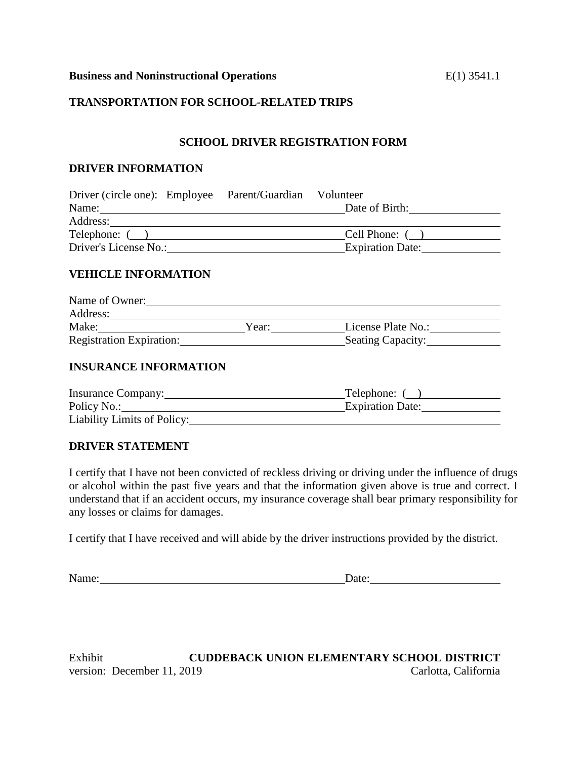#### **Business and Noninstructional Operations** E(1) 3541.1

# **TRANSPORTATION FOR SCHOOL-RELATED TRIPS**

### **SCHOOL DRIVER REGISTRATION FORM**

#### **DRIVER INFORMATION**

| Driver (circle one): Employee Parent/Guardian Volunteer |  |                         |  |
|---------------------------------------------------------|--|-------------------------|--|
| Name:                                                   |  | Date of Birth:          |  |
| Address:                                                |  |                         |  |
| Telephone: ()                                           |  | Cell Phone: ()          |  |
| Driver's License No.:                                   |  | <b>Expiration Date:</b> |  |

### **VEHICLE INFORMATION**

| Name of Owner:                  |       |                          |  |
|---------------------------------|-------|--------------------------|--|
| Address:                        |       |                          |  |
| Make:                           | Year: | License Plate No.:       |  |
| <b>Registration Expiration:</b> |       | <b>Seating Capacity:</b> |  |

#### **INSURANCE INFORMATION**

| Insurance Company:          | Telephone: (            |
|-----------------------------|-------------------------|
| Policy No.:                 | <b>Expiration Date:</b> |
| Liability Limits of Policy: |                         |

#### **DRIVER STATEMENT**

I certify that I have not been convicted of reckless driving or driving under the influence of drugs or alcohol within the past five years and that the information given above is true and correct. I understand that if an accident occurs, my insurance coverage shall bear primary responsibility for any losses or claims for damages.

I certify that I have received and will abide by the driver instructions provided by the district.

Name: Date: Date:

Exhibit **CUDDEBACK UNION ELEMENTARY SCHOOL DISTRICT** version: December 11, 2019 Carlotta, California